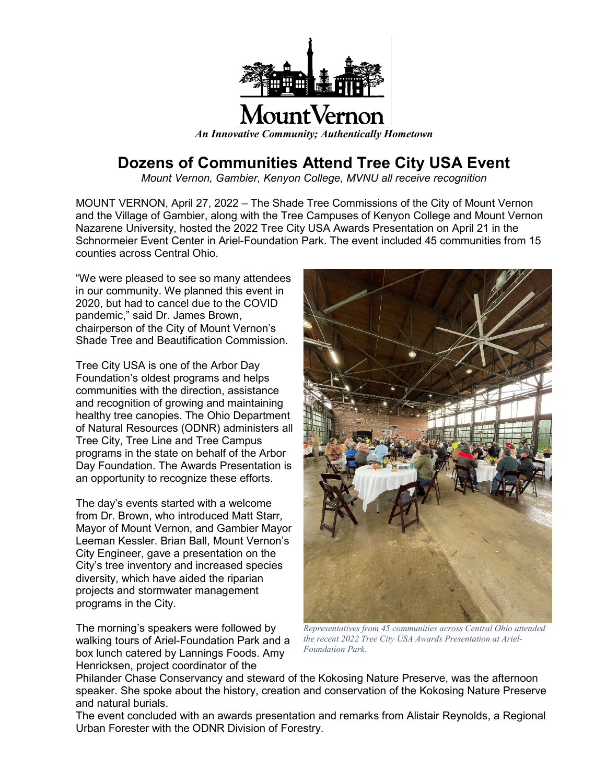

## **Dozens of Communities Attend Tree City USA Event**

*Mount Vernon, Gambier, Kenyon College, MVNU all receive recognition*

MOUNT VERNON, April 27, 2022 – The Shade Tree Commissions of the City of Mount Vernon and the Village of Gambier, along with the Tree Campuses of Kenyon College and Mount Vernon Nazarene University, hosted the 2022 Tree City USA Awards Presentation on April 21 in the Schnormeier Event Center in Ariel-Foundation Park. The event included 45 communities from 15 counties across Central Ohio.

"We were pleased to see so many attendees in our community. We planned this event in 2020, but had to cancel due to the COVID pandemic," said Dr. James Brown, chairperson of the City of Mount Vernon's Shade Tree and Beautification Commission.

Tree City USA is one of the Arbor Day Foundation's oldest programs and helps communities with the direction, assistance and recognition of growing and maintaining healthy tree canopies. The Ohio Department of Natural Resources (ODNR) administers all Tree City, Tree Line and Tree Campus programs in the state on behalf of the Arbor Day Foundation. The Awards Presentation is an opportunity to recognize these efforts.

The day's events started with a welcome from Dr. Brown, who introduced Matt Starr, Mayor of Mount Vernon, and Gambier Mayor Leeman Kessler. Brian Ball, Mount Vernon's City Engineer, gave a presentation on the City's tree inventory and increased species diversity, which have aided the riparian projects and stormwater management programs in the City.

The morning's speakers were followed by walking tours of Ariel-Foundation Park and a box lunch catered by Lannings Foods. Amy Henricksen, project coordinator of the



*Representatives from 45 communities across Central Ohio attended the recent 2022 Tree City USA Awards Presentation at Ariel-Foundation Park.*

Philander Chase Conservancy and steward of the Kokosing Nature Preserve, was the afternoon speaker. She spoke about the history, creation and conservation of the Kokosing Nature Preserve and natural burials.

The event concluded with an awards presentation and remarks from Alistair Reynolds, a Regional Urban Forester with the ODNR Division of Forestry.